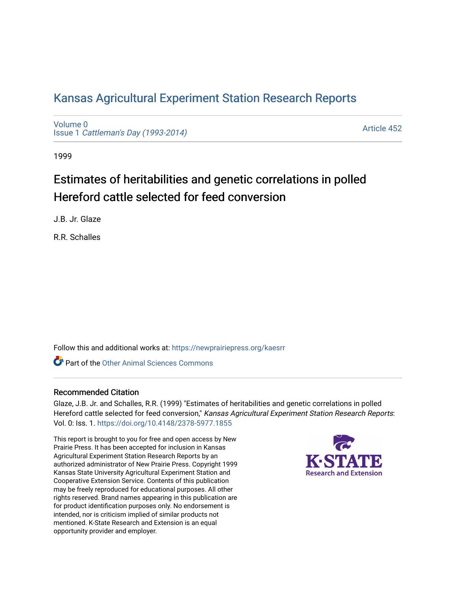# [Kansas Agricultural Experiment Station Research Reports](https://newprairiepress.org/kaesrr)

[Volume 0](https://newprairiepress.org/kaesrr/vol0) Issue 1 [Cattleman's Day \(1993-2014\)](https://newprairiepress.org/kaesrr/vol0/iss1) 

[Article 452](https://newprairiepress.org/kaesrr/vol0/iss1/452) 

1999

# Estimates of heritabilities and genetic correlations in polled Hereford cattle selected for feed conversion

J.B. Jr. Glaze

R.R. Schalles

Follow this and additional works at: [https://newprairiepress.org/kaesrr](https://newprairiepress.org/kaesrr?utm_source=newprairiepress.org%2Fkaesrr%2Fvol0%2Fiss1%2F452&utm_medium=PDF&utm_campaign=PDFCoverPages) 

**C** Part of the [Other Animal Sciences Commons](http://network.bepress.com/hgg/discipline/82?utm_source=newprairiepress.org%2Fkaesrr%2Fvol0%2Fiss1%2F452&utm_medium=PDF&utm_campaign=PDFCoverPages)

## Recommended Citation

Glaze, J.B. Jr. and Schalles, R.R. (1999) "Estimates of heritabilities and genetic correlations in polled Hereford cattle selected for feed conversion," Kansas Agricultural Experiment Station Research Reports: Vol. 0: Iss. 1. <https://doi.org/10.4148/2378-5977.1855>

This report is brought to you for free and open access by New Prairie Press. It has been accepted for inclusion in Kansas Agricultural Experiment Station Research Reports by an authorized administrator of New Prairie Press. Copyright 1999 Kansas State University Agricultural Experiment Station and Cooperative Extension Service. Contents of this publication may be freely reproduced for educational purposes. All other rights reserved. Brand names appearing in this publication are for product identification purposes only. No endorsement is intended, nor is criticism implied of similar products not mentioned. K-State Research and Extension is an equal opportunity provider and employer.

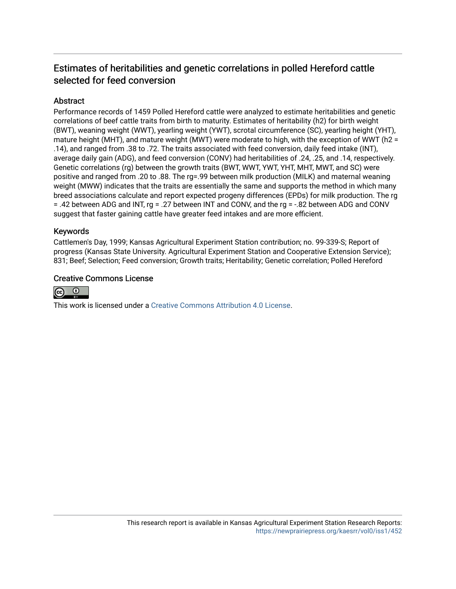# Estimates of heritabilities and genetic correlations in polled Hereford cattle selected for feed conversion

# **Abstract**

Performance records of 1459 Polled Hereford cattle were analyzed to estimate heritabilities and genetic correlations of beef cattle traits from birth to maturity. Estimates of heritability (h2) for birth weight (BWT), weaning weight (WWT), yearling weight (YWT), scrotal circumference (SC), yearling height (YHT), mature height (MHT), and mature weight (MWT) were moderate to high, with the exception of WWT (h2 = .14), and ranged from .38 to .72. The traits associated with feed conversion, daily feed intake (INT), average daily gain (ADG), and feed conversion (CONV) had heritabilities of .24, .25, and .14, respectively. Genetic correlations (rg) between the growth traits (BWT, WWT, YWT, YHT, MHT, MWT, and SC) were positive and ranged from .20 to .88. The rg=.99 between milk production (MILK) and maternal weaning weight (MWW) indicates that the traits are essentially the same and supports the method in which many breed associations calculate and report expected progeny differences (EPDs) for milk production. The rg = .42 between ADG and INT, rg = .27 between INT and CONV, and the rg = -.82 between ADG and CONV suggest that faster gaining cattle have greater feed intakes and are more efficient.

## Keywords

Cattlemen's Day, 1999; Kansas Agricultural Experiment Station contribution; no. 99-339-S; Report of progress (Kansas State University. Agricultural Experiment Station and Cooperative Extension Service); 831; Beef; Selection; Feed conversion; Growth traits; Heritability; Genetic correlation; Polled Hereford

## Creative Commons License



This work is licensed under a [Creative Commons Attribution 4.0 License](https://creativecommons.org/licenses/by/4.0/).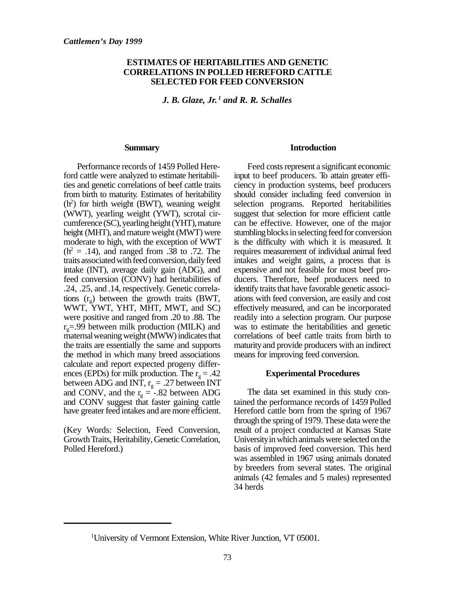#### **ESTIMATES OF HERITABILITIES AND GENETIC CORRELATIONS IN POLLED HEREFORD CATTLE SELECTED FOR FEED CONVERSION**

*J. B. Glaze, Jr. 1 and R. R. Schalles*

#### **Summary**

Performance records of 1459 Polled Hereford cattle were analyzed to estimate heritabilities and genetic correlations of beef cattle traits from birth to maturity. Estimates of heritability  $(h<sup>2</sup>)$  for birth weight (BWT), weaning weight (WWT), yearling weight (YWT), scrotal circumference (SC), yearling height (YHT), mature height (MHT), and mature weight (MWT) were moderate to high, with the exception of WWT  $(h<sup>2</sup> = .14)$ , and ranged from .38 to .72. The traits associated with feed conversion, daily feed intake (INT), average daily gain (ADG), and feed conversion (CONV) had heritabilities of .24, .25, and .14, respectively. Genetic correlations  $(r_g)$  between the growth traits (BWT, WWT, YWT, YHT, MHT, MWT, and SC) were positive and ranged from .20 to .88. The  $r<sub>g</sub>=.99$  between milk production (MILK) and maternal weaning weight (MWW) indicates that the traits are essentially the same and supports the method in which many breed associations calculate and report expected progeny differences (EPDs) for milk production. The  $r_g = .42$ between ADG and INT,  $r_g = .27$  between INT and CONV, and the  $r_g = -.82$  between ADG and CONV suggest that faster gaining cattle have greater feed intakes and are more efficient.

(Key Words: Selection, Feed Conversion, Growth Traits, Heritability, Genetic Correlation, Polled Hereford.)

#### **Introduction**

Feed costs represent a significant economic input to beef producers. To attain greater efficiency in production systems, beef producers should consider including feed conversion in selection programs. Reported heritabilities suggest that selection for more efficient cattle can be effective. However, one of the major stumbling blocks in selecting feed for conversion is the difficulty with which it is measured. It requires measurement of individual animal feed intakes and weight gains, a process that is expensive and not feasible for most beef producers. Therefore, beef producers need to identify traits that have favorable genetic associations with feed conversion, are easily and cost effectively measured, and can be incorporated readily into a selection program. Our purpose was to estimate the heritabilities and genetic correlations of beef cattle traits from birth to maturity and provide producers with an indirect means for improving feed conversion.

#### **Experimental Procedures**

The data set examined in this study contained the performance records of 1459 Polled Hereford cattle born from the spring of 1967 through the spring of 1979. These data were the result of a project conducted at Kansas State University in which animals were selected on the basis of improved feed conversion. This herd was assembled in 1967 using animals donated by breeders from several states. The original animals (42 females and 5 males) represented 34 herds

<sup>1</sup>University of Vermont Extension, White River Junction, VT 05001.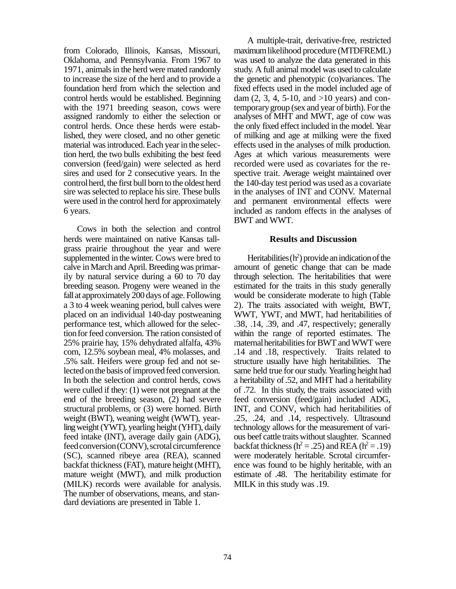from Colorado, Illinois, Kansas, Missouri, Oklahoma, and Pennsylvania. From 1967 to 1971, animals in the herd were mated randomly to increase the size of the herd and to provide a foundation herd from which the selection and control herds would be established. Beginning with the 1971 breeding season, cows were assigned randomly to either the selection or control herds. Once these herds were established, they were closed, and no other genetic material was introduced. Each year in the selection herd, the two bulls exhibiting the best feed conversion (feed/gain) were selected as herd sires and used for 2 consecutive years. In the control herd, the first bull born to the oldest herd sire was selected to replace his sire. These bulls were used in the control herd for approximately 6 years.

Cows in both the selection and control herds were maintained on native Kansas tallgrass prairie throughout the year and were supplemented in the winter. Cows were bred to calve in March and April. Breeding was primarily by natural service during a 60 to 70 day breeding season. Progeny were weaned in the fall at approximately 200 days of age. Following a 3 to 4 week weaning period, bull calves were placed on an individual 140-day postweaning performance test, which allowed for the selection for feed conversion. The ration consisted of 25% prairie hay, 15% dehydrated alfalfa, 43% corn, 12.5% soybean meal, 4% molasses, and .5% salt. Heifers were group fed and not selected on the basis of improved feed conversion. In both the selection and control herds, cows were culled if they: (1) were not pregnant at the end of the breeding season, (2) had severe structural problems, or (3) were horned. Birth weight (BWT), weaning weight (WWT), yearling weight (YWT), yearling height (YHT), daily feed intake (INT), average daily gain (ADG), feed conversion (CONV), scrotal circumference (SC), scanned ribeye area (REA), scanned backfat thickness (FAT), mature height (MHT), mature weight (MWT), and milk production (MILK) records were available for analysis. The number of observations, means, and standard deviations are presented in Table 1.

A multiple-trait, derivative-free, restricted maximum likelihood procedure (MTDFREML) was used to analyze the data generated in this study. A full animal model was used to calculate the genetic and phenotypic (co)variances. The fixed effects used in the model included age of dam  $(2, 3, 4, 5{\text -}10, \text{ and } {\text -}10, \text{ years})$  and contemporary group (sex and year of birth). For the analyses of MHT and MWT, age of cow was the only fixed effect included in the model. Year of milking and age at milking were the fixed effects used in the analyses of milk production. Ages at which various measurements were recorded were used as covariates for the respective trait. Average weight maintained over the 140-day test period was used as a covariate in the analyses of INT and CONV. Maternal and permanent environmental effects were included as random effects in the analyses of BWT and WWT.

#### **Results and Discussion**

Heritabilities  $(h^2)$  provide an indication of the amount of genetic change that can be made through selection. The heritabilities that were estimated for the traits in this study generally would be considerate moderate to high (Table 2). The traits associated with weight, BWT, WWT, YWT, and MWT, had heritabilities of .38, .14, .39, and .47, respectively; generally within the range of reported estimates. The maternal heritabilities for BWT and WWT were .14 and .18, respectively. Traits related to structure usually have high heritabilities. The same held true for our study. Yearling height had a heritability of .52, and MHT had a heritability of .72. In this study, the traits associated with feed conversion (feed/gain) included ADG, INT, and CONV, which had heritabilities of .25, .24, and .14, respectively. Ultrasound technology allows for the measurement of various beef cattle traits without slaughter. Scanned backfat thickness ( $h^2 = .25$ ) and REA ( $h^2 = .19$ ) were moderately heritable. Scrotal circumference was found to be highly heritable, with an estimate of .48. The heritability estimate for MILK in this study was .19.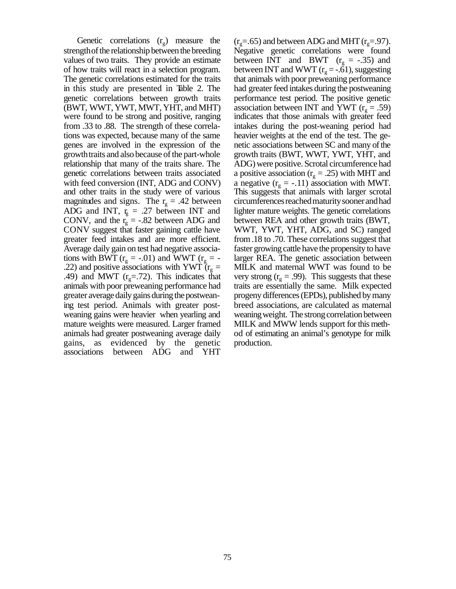Genetic correlations  $(r_g)$  measure the strength of the relationship between the breeding values of two traits. They provide an estimate of how traits will react in a selection program. The genetic correlations estimated for the traits in this study are presented in Table 2. The genetic correlations between growth traits (BWT, WWT, YWT, MWT, YHT, and MHT) were found to be strong and positive, ranging from .33 to .88. The strength of these correlations was expected, because many of the same genes are involved in the expression of the growth traits and also because of the part-whole relationship that many of the traits share. The genetic correlations between traits associated with feed conversion (INT, ADG and CONV) and other traits in the study were of various magnitudes and signs. The  $r_g = .42$  between ADG and INT,  $r<sub>g</sub> = .27$  between INT and CONV, and the  $r_g = -.82$  between ADG and CONV suggest that faster gaining cattle have greater feed intakes and are more efficient. Average daily gain on test had negative associations with BWT ( $r_g = -.01$ ) and WWT ( $r_g = -$ .22) and positive associations with YWT  $(r<sub>g</sub> =$ .49) and MWT ( $r<sub>g</sub>=.72$ ). This indicates that animals with poor preweaning performance had greater average daily gains during the postweaning test period. Animals with greater postweaning gains were heavier when yearling and mature weights were measured. Larger framed animals had greater postweaning average daily gains, as evidenced by the genetic associations between ADG and YHT

 $(r<sub>g</sub>=.65)$  and between ADG and MHT  $(r<sub>g</sub>=.97)$ . Negative genetic correlations were found between INT and BWT  $(r<sub>g</sub> = -.35)$  and between INT and WWT ( $r_g = -.61$ ), suggesting that animals with poor preweaning performance had greater feed intakes during the postweaning performance test period. The positive genetic association between INT and YWT  $(r_g = .59)$ indicates that those animals with greater feed intakes during the post-weaning period had heavier weights at the end of the test. The genetic associations between SC and many of the growth traits (BWT, WWT, YWT, YHT, and ADG) were positive. Scrotal circumference had a positive association ( $r_g = .25$ ) with MHT and a negative  $(r<sub>g</sub> = -.11)$  association with MWT. This suggests that animals with larger scrotal circumferences reached maturity sooner and had lighter mature weights. The genetic correlations between REA and other growth traits (BWT, WWT, YWT, YHT, ADG, and SC) ranged from .18 to .70. These correlations suggest that faster growing cattle have the propensity to have larger REA. The genetic association between MILK and maternal WWT was found to be very strong  $(r_g = .99)$ . This suggests that these traits are essentially the same. Milk expected progeny differences (EPDs), published by many breed associations, are calculated as maternal weaning weight. The strong correlation between MILK and MWW lends support for this method of estimating an animal's genotype for milk production.